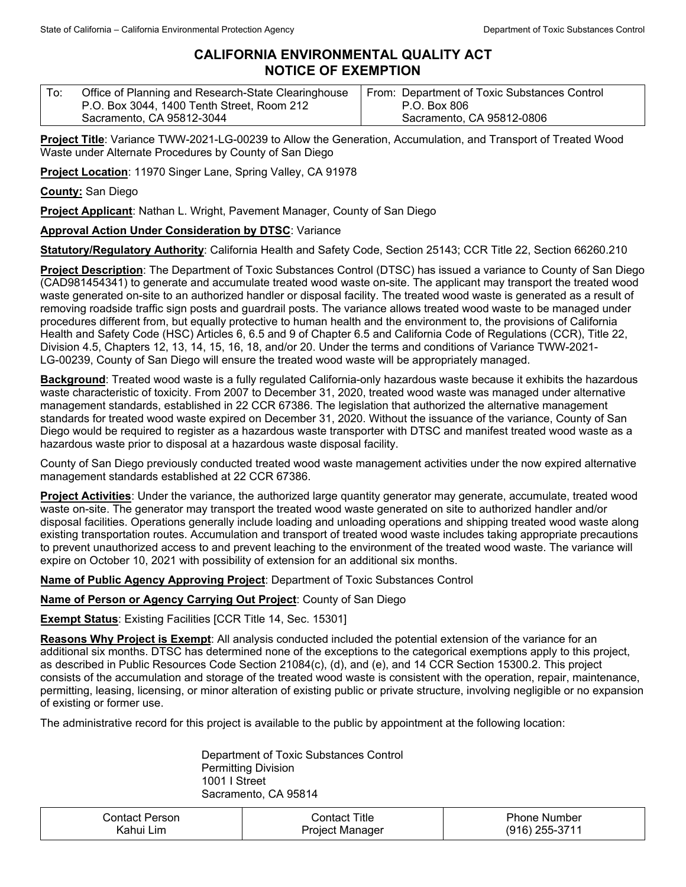## **CALIFORNIA ENVIRONMENTAL QUALITY ACT NOTICE OF EXEMPTION**

| To: | Office of Planning and Research-State Clearinghouse | From: Department of Toxic Substances Control |
|-----|-----------------------------------------------------|----------------------------------------------|
|     | P.O. Box 3044, 1400 Tenth Street, Room 212          | P.O. Box 806                                 |
|     | Sacramento, CA 95812-3044                           | Sacramento, CA 95812-0806                    |

**Project Title**: Variance TWW-2021-LG-00239 to Allow the Generation, Accumulation, and Transport of Treated Wood Waste under Alternate Procedures by County of San Diego

**Project Location**: 11970 Singer Lane, Spring Valley, CA 91978

**County:** San Diego

**Project Applicant**: Nathan L. Wright, Pavement Manager, County of San Diego

## **Approval Action Under Consideration by DTSC**: Variance

**Statutory/Regulatory Authority**: California Health and Safety Code, Section 25143; CCR Title 22, Section 66260.210

**Project Description**: The Department of Toxic Substances Control (DTSC) has issued a variance to County of San Diego (CAD981454341) to generate and accumulate treated wood waste on-site. The applicant may transport the treated wood waste generated on-site to an authorized handler or disposal facility. The treated wood waste is generated as a result of removing roadside traffic sign posts and guardrail posts. The variance allows treated wood waste to be managed under procedures different from, but equally protective to human health and the environment to, the provisions of California Health and Safety Code (HSC) Articles 6, 6.5 and 9 of Chapter 6.5 and California Code of Regulations (CCR), Title 22, Division 4.5, Chapters 12, 13, 14, 15, 16, 18, and/or 20. Under the terms and conditions of Variance TWW-2021- LG-00239, County of San Diego will ensure the treated wood waste will be appropriately managed.

**Background**: Treated wood waste is a fully regulated California-only hazardous waste because it exhibits the hazardous waste characteristic of toxicity. From 2007 to December 31, 2020, treated wood waste was managed under alternative management standards, established in 22 CCR 67386. The legislation that authorized the alternative management standards for treated wood waste expired on December 31, 2020. Without the issuance of the variance, County of San Diego would be required to register as a hazardous waste transporter with DTSC and manifest treated wood waste as a hazardous waste prior to disposal at a hazardous waste disposal facility.

County of San Diego previously conducted treated wood waste management activities under the now expired alternative management standards established at 22 CCR 67386.

**Project Activities**: Under the variance, the authorized large quantity generator may generate, accumulate, treated wood waste on-site. The generator may transport the treated wood waste generated on site to authorized handler and/or disposal facilities. Operations generally include loading and unloading operations and shipping treated wood waste along existing transportation routes. Accumulation and transport of treated wood waste includes taking appropriate precautions to prevent unauthorized access to and prevent leaching to the environment of the treated wood waste. The variance will expire on October 10, 2021 with possibility of extension for an additional six months.

**Name of Public Agency Approving Project**: Department of Toxic Substances Control

**Name of Person or Agency Carrying Out Project**: County of San Diego

**Exempt Status**: Existing Facilities [CCR Title 14, Sec. 15301]

**Reasons Why Project is Exempt**: All analysis conducted included the potential extension of the variance for an additional six months. DTSC has determined none of the exceptions to the categorical exemptions apply to this project, as described in Public Resources Code Section 21084(c), (d), and (e), and 14 CCR Section 15300.2. This project consists of the accumulation and storage of the treated wood waste is consistent with the operation, repair, maintenance, permitting, leasing, licensing, or minor alteration of existing public or private structure, involving negligible or no expansion of existing or former use.

The administrative record for this project is available to the public by appointment at the following location:

Department of Toxic Substances Control Permitting Division 1001 I Street Sacramento, CA 95814

| .≳ontact Person. | Contact Title   | <b>Phone Number</b> |
|------------------|-----------------|---------------------|
| Kahui Lim        | Project Manager | $(916)$ 255-3711    |